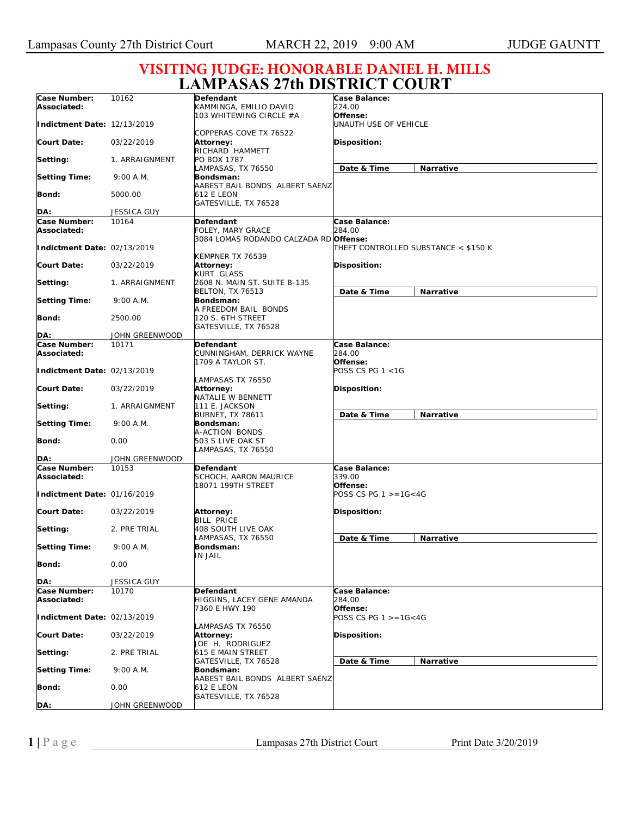9:00 A.M.

**Setting Time:** 

**Bond: DA:**

**Date & Time Narrative**

**Date & Time Narrative**

## **LAMPASAS 27th DISTRICT COURT Case Number: Associated: Indictment Date:**  12/13/2019 **Court Date: Setting:**  10162 03/22/2019 1. ARRAIGNMENT **Defendant**  KAMMINGA, EMILIO DAVID 103 WHITEWING CIRCLE #A COPPERAS COVE TX 76522 **Attorney:**  RICHARD HAMMETT PO BOX 1787 **Case Balance:**  *224.00*  **Offense:**  *UNAUTH USE OF VEHICLE*  **Disposition: VISITING JUDGE: HONORABLE DANIEL H. MILLS**

LAMPASAS, TX 76550 **Bondsman:** 

|                             |                         | AABEST BAIL BONDS ALBERT SAENZ                 |                                      |  |
|-----------------------------|-------------------------|------------------------------------------------|--------------------------------------|--|
| Bond:                       | 5000.00                 | 612 E LEON                                     |                                      |  |
| DA:                         | <b>JESSICA GUY</b>      | GATESVILLE, TX 76528                           |                                      |  |
| Case Number:                | 10164                   |                                                | Case Balance:                        |  |
|                             |                         | Defendant                                      | <i>284.00</i>                        |  |
| Associated:                 |                         | FOLEY, MARY GRACE                              |                                      |  |
|                             |                         | 3084 LOMAS RODANDO CALZADA RD Offense:         |                                      |  |
| Indictment Date: 02/13/2019 |                         |                                                | THEFT CONTROLLED SUBSTANCE < \$150 K |  |
|                             |                         | KEMPNER TX 76539                               |                                      |  |
| <b>Court Date:</b>          | 03/22/2019              | Attorney:                                      | Disposition:                         |  |
|                             |                         | KURT GLASS                                     |                                      |  |
| Setting:                    | 1. ARRAIGNMENT          | 2608 N. MAIN ST. SUITE B-135                   |                                      |  |
|                             |                         | <b>BELTON, TX 76513</b>                        | Narrative<br>Date & Time             |  |
| <b>Setting Time:</b>        | 9:00 A.M.               | Bondsman:                                      |                                      |  |
|                             |                         | A FREEDOM BAIL BONDS                           |                                      |  |
| Bond:                       | 2500.00                 | 120 S. 6TH STREET                              |                                      |  |
|                             |                         | GATESVILLE, TX 76528                           |                                      |  |
| DA:                         | JOHN GREENWOOD<br>10171 |                                                | Case Balance:                        |  |
| Case Number:                |                         | Defendant                                      | <i>284.00</i>                        |  |
| Associated:                 |                         | CUNNINGHAM, DERRICK WAYNE<br>1709 A TAYLOR ST. | Offense:                             |  |
| Indictment Date: 02/13/2019 |                         |                                                | POSS CS PG 1 <1G                     |  |
|                             |                         | LAMPASAS TX 76550                              |                                      |  |
| <b>Court Date:</b>          | 03/22/2019              | Attorney:                                      | Disposition:                         |  |
|                             |                         | NATALIE W BENNETT                              |                                      |  |
| Setting:                    | 1. ARRAIGNMENT          | 111 E. JACKSON                                 |                                      |  |
|                             |                         | <b>BURNET, TX 78611</b>                        | Date & Time<br>Narrative             |  |
| <b>Setting Time:</b>        | 9:00 A.M.               | Bondsman:                                      |                                      |  |
|                             |                         | A-ACTION BONDS                                 |                                      |  |
| Bond:                       | 0.00                    | 503 S LIVE OAK ST                              |                                      |  |
|                             |                         | LAMPASAS, TX 76550                             |                                      |  |
| DA:                         | JOHN GREENWOOD          |                                                |                                      |  |
| Case Number:                | 10153                   | Defendant                                      | Case Balance:                        |  |
| Associated:                 |                         | <b>SCHOCH, AARON MAURICE</b>                   | 339.00                               |  |
|                             |                         | 18071 199TH STREET                             | Offense:                             |  |
| Indictment Date: 01/16/2019 |                         |                                                | POSS CS PG $1 > = 16 < 4G$           |  |
|                             |                         |                                                |                                      |  |
| <b>Court Date:</b>          | 03/22/2019              | <b>Attorney:</b>                               | <b>Disposition:</b>                  |  |
|                             |                         | <b>BILL PRICE</b>                              |                                      |  |
| Setting:                    | 2. PRE TRIAL            | 408 SOUTH LIVE OAK                             |                                      |  |
|                             |                         | LAMPASAS, TX 76550                             | Date & Time<br><b>Narrative</b>      |  |
| <b>Setting Time:</b>        | 9:00 A.M.               | Bondsman:                                      |                                      |  |
|                             |                         | IN JAIL                                        |                                      |  |
| Bond:                       | 0.00                    |                                                |                                      |  |
| DA:                         | JESSICA GUY             |                                                |                                      |  |
| Case Number:                | 10170                   | Defendant                                      | Case Balance:                        |  |
| Associated:                 |                         | HIGGINS, LACEY GENE AMANDA                     | 284.00                               |  |
|                             |                         | 7360 E HWY 190                                 | Offense:                             |  |
| Indictment Date: 02/13/2019 |                         |                                                | POSS CS PG $1 > = 16 < 4G$           |  |
|                             |                         | <b>AMPASAS TX 76550</b>                        |                                      |  |
| <b>Court Date:</b>          | 03/22/2019              | Attorney:                                      | Disposition:                         |  |
|                             |                         | JOE H. RODRIGUEZ                               |                                      |  |
| Setting:                    | 2. PRE TRIAL            | 615 E MAIN STREET                              |                                      |  |
|                             |                         |                                                |                                      |  |

**Setting Time:** 

9:00 A.M.

JOHN GREENWOOD

0.00

GATESVILLE, TX 76528

GATESVILLE, TX 76528

AABEST BAIL BONDS ALBERT SAENZ

**Bondsman:** 

612 E LEON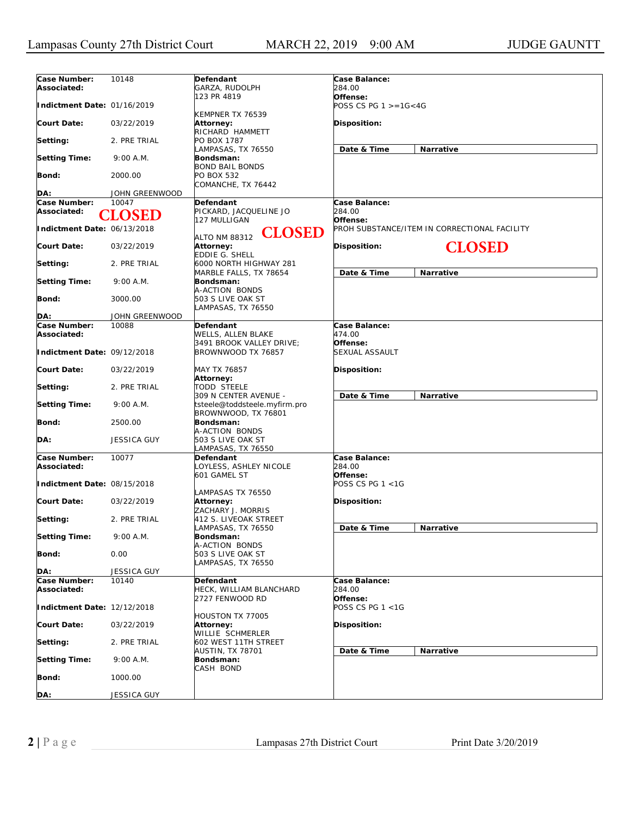| Case Number:                | 10148              | Defendant                                            | Case Balance:                                |
|-----------------------------|--------------------|------------------------------------------------------|----------------------------------------------|
| Associated:                 |                    | GARZA, RUDOLPH                                       | <i>284.00</i>                                |
| Indictment Date: 01/16/2019 |                    | 123 PR 4819                                          | Offense:<br>POSS CS PG $1 > = 16 < 4G$       |
|                             |                    | KEMPNER TX 76539                                     |                                              |
| <b>Court Date:</b>          | 03/22/2019         | Attorney:<br>RICHARD HAMMETT                         | <b>Disposition:</b>                          |
| Setting:                    | 2. PRE TRIAL       | PO BOX 1787                                          |                                              |
|                             |                    | LAMPASAS, TX 76550                                   | Date & Time<br><b>Narrative</b>              |
| <b>Setting Time:</b>        | 9:00 A.M.          | Bondsman:<br><b>BOND BAIL BONDS</b>                  |                                              |
| <b>Bond:</b>                | 2000.00            | PO BOX 532                                           |                                              |
|                             |                    | COMANCHE, TX 76442                                   |                                              |
| DA:                         | JOHN GREENWOOD     |                                                      |                                              |
| Case Number:<br>Associated: | 10047              | Defendant<br>PICKARD, JACQUELINE JO                  | Case Balance:<br>284.00                      |
|                             | <b>CLOSED</b>      | 127 MULLIGAN                                         | Offense:                                     |
| Indictment Date: 06/13/2018 |                    | <b>CLOSED</b>                                        | PROH SUBSTANCE/ITEM IN CORRECTIONAL FACILITY |
|                             |                    | <b>ALTO NM 88312</b>                                 |                                              |
| <b>Court Date:</b>          | 03/22/2019         | <b>Attorney:</b><br><b>EDDIE G. SHELL</b>            | <b>CLOSED</b><br><b>Disposition:</b>         |
| Setting:                    | 2. PRE TRIAL       | 6000 NORTH HIGHWAY 281                               |                                              |
|                             |                    | MARBLE FALLS, TX 78654                               | Date & Time<br>Narrative                     |
| <b>Setting Time:</b>        | 9:00 A.M.          | <b>Bondsman:</b><br>A-ACTION BONDS                   |                                              |
| <b>Bond:</b>                | 3000.00            | 503 S LIVE OAK ST                                    |                                              |
|                             |                    | LAMPASAS, TX 76550                                   |                                              |
| DA:                         | JOHN GREENWOOD     |                                                      |                                              |
| Case Number:                | 10088              | Defendant                                            | Case Balance:                                |
| Associated:                 |                    | WELLS, ALLEN BLAKE<br>3491 BROOK VALLEY DRIVE;       | 474.00<br>Offense:                           |
| Indictment Date: 09/12/2018 |                    | BROWNWOOD TX 76857                                   | SEXUAL ASSAULT                               |
|                             |                    |                                                      |                                              |
| <b>Court Date:</b>          | 03/22/2019         | MAY TX 76857<br>Attorney:                            | <b>Disposition:</b>                          |
| Setting:                    | 2. PRE TRIAL       | TODD STEELE                                          |                                              |
|                             |                    | 309 N CENTER AVENUE -                                | Date & Time<br>Narrative                     |
| <b>Setting Time:</b>        | 9:00 A.M.          | tsteele@toddsteele.myfirm.pro<br>BROWNWOOD, TX 76801 |                                              |
| <b>Bond:</b>                | 2500.00            | Bondsman:                                            |                                              |
|                             |                    | A-ACTION BONDS                                       |                                              |
| DA:                         | <b>JESSICA GUY</b> | 503 S LIVE OAK ST                                    |                                              |
| Case Number:                | 10077              | .AMPASAS, TX 76550<br>Defendant                      | Case Balance:                                |
| Associated:                 |                    | OYLESS, ASHLEY NICOLE                                | 284.00                                       |
|                             |                    | 601 GAMEL ST                                         | Offense:                                     |
| Indictment Date: 08/15/2018 |                    |                                                      | POSS CS PG 1 <1G                             |
| <b>Court Date:</b>          | 03/22/2019         | LAMPASAS TX 76550<br>Attorney:                       | Disposition:                                 |
|                             |                    | ZACHARY J. MORRIS                                    |                                              |
| Setting:                    | 2. PRE TRIAL       | 412 S. LIVEOAK STREET                                |                                              |
| Setting Time:               | 9:00 A.M.          | LAMPASAS, TX 76550<br>Bondsman:                      | Date & Time<br>Narrative                     |
|                             |                    | A-ACTION BONDS                                       |                                              |
| <b>Bond:</b>                | 0.00               | 503 S LIVE OAK ST                                    |                                              |
| DA:                         | <b>JESSICA GUY</b> | LAMPASAS, TX 76550                                   |                                              |
| Case Number:                | 10140              | <b>Defendant</b>                                     | Case Balance:                                |
| Associated:                 |                    | HECK, WILLIAM BLANCHARD                              | 284.00                                       |
|                             |                    | 2727 FENWOOD RD                                      | Offense:                                     |
| Indictment Date: 12/12/2018 |                    |                                                      | POSS CS PG 1 <1G                             |
| <b>Court Date:</b>          | 03/22/2019         | HOUSTON TX 77005<br>Attorney:                        | Disposition:                                 |
|                             |                    | WILLIE SCHMERLER                                     |                                              |
| Setting:                    | 2. PRE TRIAL       | 602 WEST 11TH STREET                                 |                                              |
| <b>Setting Time:</b>        | 9:00 A.M.          | <b>AUSTIN, TX 78701</b><br>Bondsman:                 | Date & Time<br><b>Narrative</b>              |
|                             |                    | CASH BOND                                            |                                              |
| Bond:                       | 1000.00            |                                                      |                                              |
|                             |                    |                                                      |                                              |
| DA:                         | JESSICA GUY        |                                                      |                                              |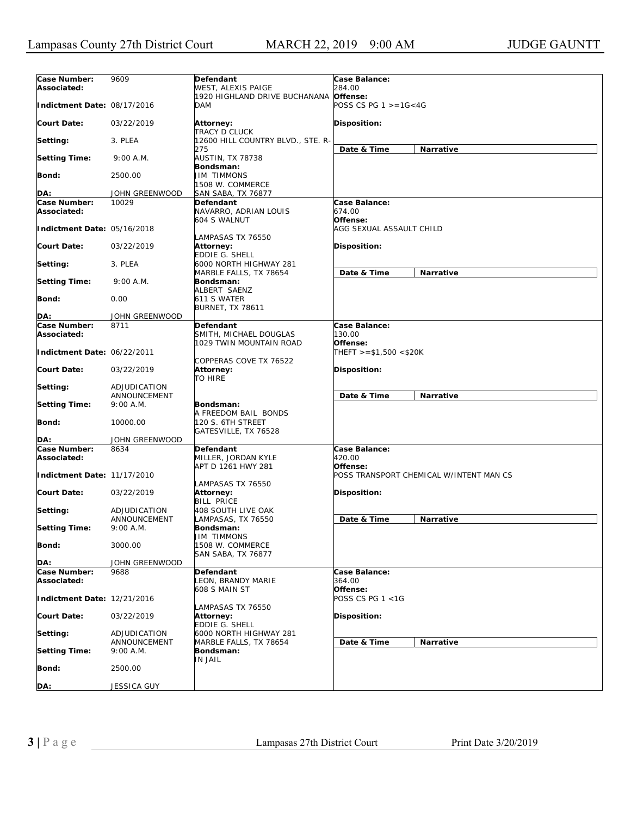| Case Number:                | 9609                   | Defendant                         | Case Balance:                           |
|-----------------------------|------------------------|-----------------------------------|-----------------------------------------|
| Associated:                 |                        | WEST, ALEXIS PAIGE                | 284.00                                  |
|                             |                        | 1920 HIGHLAND DRIVE BUCHANANA     | Offense:                                |
| Indictment Date: 08/17/2016 |                        | <b>DAM</b>                        | POSS CS PG $1 > = 1G < 4G$              |
|                             |                        |                                   |                                         |
| <b>Court Date:</b>          | 03/22/2019             | Attorney:                         | Disposition:                            |
|                             |                        | TRACY D CLUCK                     |                                         |
| Setting:                    | 3. PLEA                | 12600 HILL COUNTRY BLVD., STE. R- |                                         |
| <b>Setting Time:</b>        | 9:00 A.M.              | 275<br>AUSTIN, TX 78738           | Date & Time<br>Narrative                |
|                             |                        | Bondsman:                         |                                         |
| <b>Bond:</b>                | 2500.00                | <b>JIM TIMMONS</b>                |                                         |
|                             |                        | 1508 W. COMMERCE                  |                                         |
| DA:                         | JOHN GREENWOOD         | SAN SABA, TX 76877                |                                         |
| Case Number:                | 10029                  | Defendant                         | Case Balance:                           |
| Associated:                 |                        | NAVARRO, ADRIAN LOUIS             | 674.00                                  |
|                             |                        | 604 S WALNUT                      | Offense:                                |
| Indictment Date: 05/16/2018 |                        |                                   | AGG SEXUAL ASSAULT CHILD                |
|                             |                        | LAMPASAS TX 76550                 |                                         |
| <b>Court Date:</b>          | 03/22/2019             | <b>Attorney:</b>                  | Disposition:                            |
|                             |                        | <b>EDDIE G. SHELL</b>             |                                         |
| Setting:                    | 3. PLEA                | 6000 NORTH HIGHWAY 281            |                                         |
|                             |                        | MARBLE FALLS, TX 78654            | Date & Time<br>Narrative                |
| <b>Setting Time:</b>        | 9:00 A.M.              | Bondsman:<br>ALBERT SAENZ         |                                         |
| Bond:                       | 0.00                   | 611 S WATER                       |                                         |
|                             |                        | <b>BURNET, TX 78611</b>           |                                         |
| DA:                         | JOHN GREENWOOD         |                                   |                                         |
| Case Number:                | 8711                   | Defendant                         | Case Balance:                           |
| Associated:                 |                        | SMITH, MICHAEL DOUGLAS            | 130.00                                  |
|                             |                        | 1029 TWIN MOUNTAIN ROAD           | Offense:                                |
| Indictment Date: 06/22/2011 |                        |                                   | $THEFT > = $1,500 < $20K$               |
|                             |                        | COPPERAS COVE TX 76522            |                                         |
| <b>Court Date:</b>          | 03/22/2019             | Attorney:                         | Disposition:                            |
|                             |                        | <b>TO HIRE</b>                    |                                         |
| Setting:                    | ADJUDICATION           |                                   |                                         |
|                             | ANNOUNCEMENT           |                                   | Date & Time<br>Narrative                |
| <b>Setting Time:</b>        | 9:00 A.M.              | Bondsman:                         |                                         |
|                             |                        | A FREEDOM BAIL BONDS              |                                         |
| Bond:                       | 10000.00               | 120 S. 6TH STREET                 |                                         |
| DA:                         | JOHN GREENWOOD         | GATESVILLE, TX 76528              |                                         |
| Case Number:                | 8634                   | Defendant                         | Case Balance:                           |
| Associated:                 |                        | MILLER, JORDAN KYLE               | 420.00                                  |
|                             |                        | APT D 1261 HWY 281                | Offense:                                |
| Indictment Date: 11/17/2010 |                        |                                   | POSS TRANSPORT CHEMICAL W/INTENT MAN CS |
|                             |                        | LAMPASAS TX 76550                 |                                         |
| <b>Court Date:</b>          | 03/22/2019             | <b>Attorney:</b>                  | Disposition:                            |
|                             |                        | <b>BILL PRICE</b>                 |                                         |
| Setting:                    | ADJUDICATION           | 408 SOUTH LIVE OAK                |                                         |
|                             | ANNOUNCEMENT           | LAMPASAS, TX 76550                | Date & Time<br><b>Narrative</b>         |
| <b>Setting Time:</b>        | 9:00 A.M.              | Bondsman:                         |                                         |
|                             |                        | UIM TIMMONS                       |                                         |
| <b>Bond:</b>                | 3000.00                | 1508 W. COMMERCE                  |                                         |
|                             |                        | SAN SABA, TX 76877                |                                         |
| DA:<br>Case Number:         | JOHN GREENWOOD<br>9688 |                                   | Case Balance:                           |
| Associated:                 |                        | Defendant<br>LEON, BRANDY MARIE   | 364.00                                  |
|                             |                        | 608 S MAIN ST                     | Offense:                                |
| Indictment Date: 12/21/2016 |                        |                                   | POSS CS PG $1 < 1G$                     |
|                             |                        | LAMPASAS TX 76550                 |                                         |
| <b>Court Date:</b>          | 03/22/2019             | <b>Attorney:</b>                  | Disposition:                            |
|                             |                        | EDDIE G. SHELL                    |                                         |
| Setting:                    | ADJUDICATION           | 6000 NORTH HIGHWAY 281            |                                         |
|                             | ANNOUNCEMENT           | MARBLE FALLS, TX 78654            | Date & Time<br>Narrative                |
| <b>Setting Time:</b>        | 9:00 A.M.              | Bondsman:                         |                                         |
|                             |                        | IN JAIL                           |                                         |
| Bond:                       | 2500.00                |                                   |                                         |
|                             |                        |                                   |                                         |
| DA:                         | JESSICA GUY            |                                   |                                         |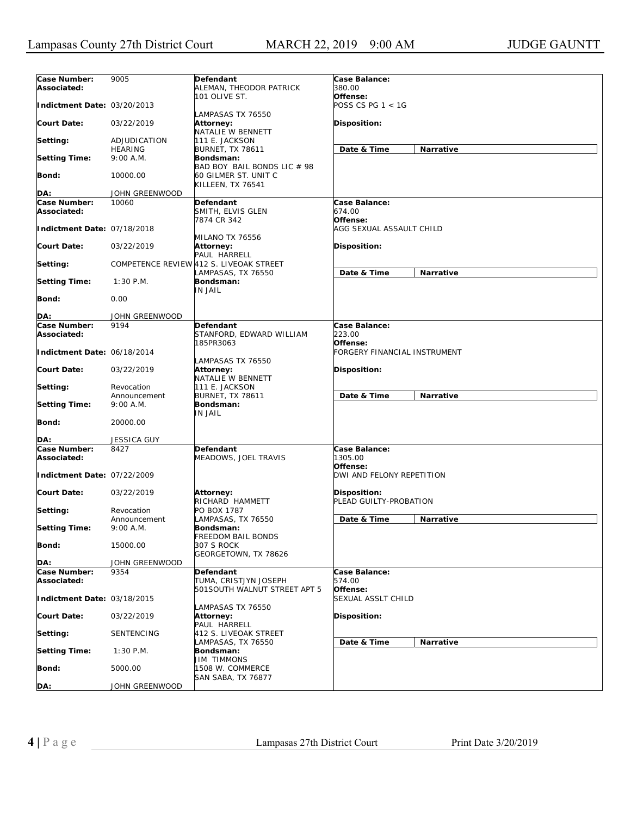| Case Number:<br>9005<br>Defendant<br>Case Balance:<br>380.00<br>Associated:<br>ALEMAN, THEODOR PATRICK<br>101 OLIVE ST.<br>Offense:<br>POSS CS PG 1 < 1G<br>Indictment Date: 03/20/2013<br>LAMPASAS TX 76550<br>Disposition:<br>03/22/2019<br>Attorney:<br>NATALIE W BENNETT<br>111 E. JACKSON<br>ADJUDICATION<br>Date & Time<br>Narrative<br><b>HEARING</b><br><b>BURNET, TX 78611</b><br><b>Setting Time:</b><br>9:00 A.M.<br>Bondsman:<br>BAD BOY BAIL BONDS LIC # 98<br>Bond:<br>10000.00<br>60 GILMER ST. UNIT C<br>KILLEEN, TX 76541<br>DA:<br>JOHN GREENWOOD<br>Case Number:<br>10060<br>Defendant<br>Case Balance:<br>Associated:<br>SMITH, ELVIS GLEN<br>674.00<br>Offense:<br>7874 CR 342<br>Indictment Date: 07/18/2018<br>AGG SEXUAL ASSAULT CHILD<br>MILANO TX 76556<br><b>Disposition:</b><br>03/22/2019<br><b>Attorney:</b><br>PAUL HARRELL<br>COMPETENCE REVIEW 412 S. LIVEOAK STREET<br>Date & Time<br>Narrative<br>LAMPASAS, TX 76550<br>$1:30$ P.M.<br>Bondsman:<br>IN JAIL<br>Bond:<br>0.00<br>DA:<br>JOHN GREENWOOD<br>Case Number:<br>9194<br>Case Balance:<br>Defendant<br>STANFORD, EDWARD WILLIAM<br>223.00<br>Associated:<br>185PR3063<br>Offense:<br>Indictment Date: 06/18/2014<br>FORGERY FINANCIAL INSTRUMENT<br>LAMPASAS TX 76550<br><b>Disposition:</b><br>03/22/2019<br>Attorney:<br>NATALIE W BENNETT<br>111 E. JACKSON<br>Revocation<br>Date & Time<br>Narrative<br><b>BURNET, TX 78611</b><br>Announcement<br><b>Setting Time:</b><br>Bondsman:<br>9:00 A.M.<br>IN JAIL<br>Bond:<br>20000.00<br><b>JESSICA GUY</b><br>DA:<br>Case Number:<br>8427<br><b>Defendant</b><br>Case Balance:<br>1305.00<br>Associated:<br>MEADOWS, JOEL TRAVIS<br>Offense:<br>Indictment Date: 07/22/2009<br>DWI AND FELONY REPETITION<br><b>Court Date:</b><br>Disposition:<br>03/22/2019<br><b>Attorney:</b><br>RICHARD HAMMETT<br>PLEAD GUILTY-PROBATION<br>PO BOX 1787<br>Revocation<br>LAMPASAS, TX 76550<br>Date & Time<br>Narrative<br>Announcement<br>9:00 A.M.<br>Bondsman:<br>FREEDOM BAIL BONDS<br>307 S ROCK<br>15000.00<br>Bond:<br>GEORGETOWN, TX 78626<br>DA:<br>JOHN GREENWOOD<br>Case Number:<br>Defendant<br>9354<br>Case Balance:<br>TUMA, CRISTJYN JOSEPH<br>574.00<br>Associated:<br>501SOUTH WALNUT STREET APT 5<br>Offense:<br>SEXUAL ASSLT CHILD<br>Indictment Date: 03/18/2015<br>LAMPASAS TX 76550<br>03/22/2019<br>Attorney:<br>Disposition:<br>PAUL HARRELL<br>SENTENCING<br>412 S. LIVEOAK STREET<br>LAMPASAS, TX 76550<br>Date & Time<br>Narrative<br>Bondsman:<br>$1:30$ P.M.<br><b>JIM TIMMONS</b><br>1508 W. COMMERCE<br>5000.00<br>SAN SABA, TX 76877<br>JOHN GREENWOOD |                      |  |  |
|-------------------------------------------------------------------------------------------------------------------------------------------------------------------------------------------------------------------------------------------------------------------------------------------------------------------------------------------------------------------------------------------------------------------------------------------------------------------------------------------------------------------------------------------------------------------------------------------------------------------------------------------------------------------------------------------------------------------------------------------------------------------------------------------------------------------------------------------------------------------------------------------------------------------------------------------------------------------------------------------------------------------------------------------------------------------------------------------------------------------------------------------------------------------------------------------------------------------------------------------------------------------------------------------------------------------------------------------------------------------------------------------------------------------------------------------------------------------------------------------------------------------------------------------------------------------------------------------------------------------------------------------------------------------------------------------------------------------------------------------------------------------------------------------------------------------------------------------------------------------------------------------------------------------------------------------------------------------------------------------------------------------------------------------------------------------------------------------------------------------------------------------------------------------------------------------------------------------------------------------------------------------------------------------------------------------------------------------------------------------------------------------------------------------------------------------------------------------------------------------------------------------------------------------------------------------------------------------------------------------------|----------------------|--|--|
|                                                                                                                                                                                                                                                                                                                                                                                                                                                                                                                                                                                                                                                                                                                                                                                                                                                                                                                                                                                                                                                                                                                                                                                                                                                                                                                                                                                                                                                                                                                                                                                                                                                                                                                                                                                                                                                                                                                                                                                                                                                                                                                                                                                                                                                                                                                                                                                                                                                                                                                                                                                                                         |                      |  |  |
|                                                                                                                                                                                                                                                                                                                                                                                                                                                                                                                                                                                                                                                                                                                                                                                                                                                                                                                                                                                                                                                                                                                                                                                                                                                                                                                                                                                                                                                                                                                                                                                                                                                                                                                                                                                                                                                                                                                                                                                                                                                                                                                                                                                                                                                                                                                                                                                                                                                                                                                                                                                                                         |                      |  |  |
|                                                                                                                                                                                                                                                                                                                                                                                                                                                                                                                                                                                                                                                                                                                                                                                                                                                                                                                                                                                                                                                                                                                                                                                                                                                                                                                                                                                                                                                                                                                                                                                                                                                                                                                                                                                                                                                                                                                                                                                                                                                                                                                                                                                                                                                                                                                                                                                                                                                                                                                                                                                                                         | <b>Court Date:</b>   |  |  |
|                                                                                                                                                                                                                                                                                                                                                                                                                                                                                                                                                                                                                                                                                                                                                                                                                                                                                                                                                                                                                                                                                                                                                                                                                                                                                                                                                                                                                                                                                                                                                                                                                                                                                                                                                                                                                                                                                                                                                                                                                                                                                                                                                                                                                                                                                                                                                                                                                                                                                                                                                                                                                         | Setting:             |  |  |
|                                                                                                                                                                                                                                                                                                                                                                                                                                                                                                                                                                                                                                                                                                                                                                                                                                                                                                                                                                                                                                                                                                                                                                                                                                                                                                                                                                                                                                                                                                                                                                                                                                                                                                                                                                                                                                                                                                                                                                                                                                                                                                                                                                                                                                                                                                                                                                                                                                                                                                                                                                                                                         |                      |  |  |
|                                                                                                                                                                                                                                                                                                                                                                                                                                                                                                                                                                                                                                                                                                                                                                                                                                                                                                                                                                                                                                                                                                                                                                                                                                                                                                                                                                                                                                                                                                                                                                                                                                                                                                                                                                                                                                                                                                                                                                                                                                                                                                                                                                                                                                                                                                                                                                                                                                                                                                                                                                                                                         |                      |  |  |
|                                                                                                                                                                                                                                                                                                                                                                                                                                                                                                                                                                                                                                                                                                                                                                                                                                                                                                                                                                                                                                                                                                                                                                                                                                                                                                                                                                                                                                                                                                                                                                                                                                                                                                                                                                                                                                                                                                                                                                                                                                                                                                                                                                                                                                                                                                                                                                                                                                                                                                                                                                                                                         |                      |  |  |
|                                                                                                                                                                                                                                                                                                                                                                                                                                                                                                                                                                                                                                                                                                                                                                                                                                                                                                                                                                                                                                                                                                                                                                                                                                                                                                                                                                                                                                                                                                                                                                                                                                                                                                                                                                                                                                                                                                                                                                                                                                                                                                                                                                                                                                                                                                                                                                                                                                                                                                                                                                                                                         |                      |  |  |
|                                                                                                                                                                                                                                                                                                                                                                                                                                                                                                                                                                                                                                                                                                                                                                                                                                                                                                                                                                                                                                                                                                                                                                                                                                                                                                                                                                                                                                                                                                                                                                                                                                                                                                                                                                                                                                                                                                                                                                                                                                                                                                                                                                                                                                                                                                                                                                                                                                                                                                                                                                                                                         |                      |  |  |
|                                                                                                                                                                                                                                                                                                                                                                                                                                                                                                                                                                                                                                                                                                                                                                                                                                                                                                                                                                                                                                                                                                                                                                                                                                                                                                                                                                                                                                                                                                                                                                                                                                                                                                                                                                                                                                                                                                                                                                                                                                                                                                                                                                                                                                                                                                                                                                                                                                                                                                                                                                                                                         |                      |  |  |
|                                                                                                                                                                                                                                                                                                                                                                                                                                                                                                                                                                                                                                                                                                                                                                                                                                                                                                                                                                                                                                                                                                                                                                                                                                                                                                                                                                                                                                                                                                                                                                                                                                                                                                                                                                                                                                                                                                                                                                                                                                                                                                                                                                                                                                                                                                                                                                                                                                                                                                                                                                                                                         | <b>Court Date:</b>   |  |  |
|                                                                                                                                                                                                                                                                                                                                                                                                                                                                                                                                                                                                                                                                                                                                                                                                                                                                                                                                                                                                                                                                                                                                                                                                                                                                                                                                                                                                                                                                                                                                                                                                                                                                                                                                                                                                                                                                                                                                                                                                                                                                                                                                                                                                                                                                                                                                                                                                                                                                                                                                                                                                                         | Setting:             |  |  |
|                                                                                                                                                                                                                                                                                                                                                                                                                                                                                                                                                                                                                                                                                                                                                                                                                                                                                                                                                                                                                                                                                                                                                                                                                                                                                                                                                                                                                                                                                                                                                                                                                                                                                                                                                                                                                                                                                                                                                                                                                                                                                                                                                                                                                                                                                                                                                                                                                                                                                                                                                                                                                         | <b>Setting Time:</b> |  |  |
|                                                                                                                                                                                                                                                                                                                                                                                                                                                                                                                                                                                                                                                                                                                                                                                                                                                                                                                                                                                                                                                                                                                                                                                                                                                                                                                                                                                                                                                                                                                                                                                                                                                                                                                                                                                                                                                                                                                                                                                                                                                                                                                                                                                                                                                                                                                                                                                                                                                                                                                                                                                                                         |                      |  |  |
|                                                                                                                                                                                                                                                                                                                                                                                                                                                                                                                                                                                                                                                                                                                                                                                                                                                                                                                                                                                                                                                                                                                                                                                                                                                                                                                                                                                                                                                                                                                                                                                                                                                                                                                                                                                                                                                                                                                                                                                                                                                                                                                                                                                                                                                                                                                                                                                                                                                                                                                                                                                                                         |                      |  |  |
|                                                                                                                                                                                                                                                                                                                                                                                                                                                                                                                                                                                                                                                                                                                                                                                                                                                                                                                                                                                                                                                                                                                                                                                                                                                                                                                                                                                                                                                                                                                                                                                                                                                                                                                                                                                                                                                                                                                                                                                                                                                                                                                                                                                                                                                                                                                                                                                                                                                                                                                                                                                                                         |                      |  |  |
|                                                                                                                                                                                                                                                                                                                                                                                                                                                                                                                                                                                                                                                                                                                                                                                                                                                                                                                                                                                                                                                                                                                                                                                                                                                                                                                                                                                                                                                                                                                                                                                                                                                                                                                                                                                                                                                                                                                                                                                                                                                                                                                                                                                                                                                                                                                                                                                                                                                                                                                                                                                                                         |                      |  |  |
|                                                                                                                                                                                                                                                                                                                                                                                                                                                                                                                                                                                                                                                                                                                                                                                                                                                                                                                                                                                                                                                                                                                                                                                                                                                                                                                                                                                                                                                                                                                                                                                                                                                                                                                                                                                                                                                                                                                                                                                                                                                                                                                                                                                                                                                                                                                                                                                                                                                                                                                                                                                                                         |                      |  |  |
|                                                                                                                                                                                                                                                                                                                                                                                                                                                                                                                                                                                                                                                                                                                                                                                                                                                                                                                                                                                                                                                                                                                                                                                                                                                                                                                                                                                                                                                                                                                                                                                                                                                                                                                                                                                                                                                                                                                                                                                                                                                                                                                                                                                                                                                                                                                                                                                                                                                                                                                                                                                                                         | <b>Court Date:</b>   |  |  |
|                                                                                                                                                                                                                                                                                                                                                                                                                                                                                                                                                                                                                                                                                                                                                                                                                                                                                                                                                                                                                                                                                                                                                                                                                                                                                                                                                                                                                                                                                                                                                                                                                                                                                                                                                                                                                                                                                                                                                                                                                                                                                                                                                                                                                                                                                                                                                                                                                                                                                                                                                                                                                         | Setting:             |  |  |
|                                                                                                                                                                                                                                                                                                                                                                                                                                                                                                                                                                                                                                                                                                                                                                                                                                                                                                                                                                                                                                                                                                                                                                                                                                                                                                                                                                                                                                                                                                                                                                                                                                                                                                                                                                                                                                                                                                                                                                                                                                                                                                                                                                                                                                                                                                                                                                                                                                                                                                                                                                                                                         |                      |  |  |
|                                                                                                                                                                                                                                                                                                                                                                                                                                                                                                                                                                                                                                                                                                                                                                                                                                                                                                                                                                                                                                                                                                                                                                                                                                                                                                                                                                                                                                                                                                                                                                                                                                                                                                                                                                                                                                                                                                                                                                                                                                                                                                                                                                                                                                                                                                                                                                                                                                                                                                                                                                                                                         |                      |  |  |
|                                                                                                                                                                                                                                                                                                                                                                                                                                                                                                                                                                                                                                                                                                                                                                                                                                                                                                                                                                                                                                                                                                                                                                                                                                                                                                                                                                                                                                                                                                                                                                                                                                                                                                                                                                                                                                                                                                                                                                                                                                                                                                                                                                                                                                                                                                                                                                                                                                                                                                                                                                                                                         |                      |  |  |
|                                                                                                                                                                                                                                                                                                                                                                                                                                                                                                                                                                                                                                                                                                                                                                                                                                                                                                                                                                                                                                                                                                                                                                                                                                                                                                                                                                                                                                                                                                                                                                                                                                                                                                                                                                                                                                                                                                                                                                                                                                                                                                                                                                                                                                                                                                                                                                                                                                                                                                                                                                                                                         |                      |  |  |
|                                                                                                                                                                                                                                                                                                                                                                                                                                                                                                                                                                                                                                                                                                                                                                                                                                                                                                                                                                                                                                                                                                                                                                                                                                                                                                                                                                                                                                                                                                                                                                                                                                                                                                                                                                                                                                                                                                                                                                                                                                                                                                                                                                                                                                                                                                                                                                                                                                                                                                                                                                                                                         |                      |  |  |
|                                                                                                                                                                                                                                                                                                                                                                                                                                                                                                                                                                                                                                                                                                                                                                                                                                                                                                                                                                                                                                                                                                                                                                                                                                                                                                                                                                                                                                                                                                                                                                                                                                                                                                                                                                                                                                                                                                                                                                                                                                                                                                                                                                                                                                                                                                                                                                                                                                                                                                                                                                                                                         |                      |  |  |
|                                                                                                                                                                                                                                                                                                                                                                                                                                                                                                                                                                                                                                                                                                                                                                                                                                                                                                                                                                                                                                                                                                                                                                                                                                                                                                                                                                                                                                                                                                                                                                                                                                                                                                                                                                                                                                                                                                                                                                                                                                                                                                                                                                                                                                                                                                                                                                                                                                                                                                                                                                                                                         | Setting:             |  |  |
|                                                                                                                                                                                                                                                                                                                                                                                                                                                                                                                                                                                                                                                                                                                                                                                                                                                                                                                                                                                                                                                                                                                                                                                                                                                                                                                                                                                                                                                                                                                                                                                                                                                                                                                                                                                                                                                                                                                                                                                                                                                                                                                                                                                                                                                                                                                                                                                                                                                                                                                                                                                                                         | <b>Setting Time:</b> |  |  |
|                                                                                                                                                                                                                                                                                                                                                                                                                                                                                                                                                                                                                                                                                                                                                                                                                                                                                                                                                                                                                                                                                                                                                                                                                                                                                                                                                                                                                                                                                                                                                                                                                                                                                                                                                                                                                                                                                                                                                                                                                                                                                                                                                                                                                                                                                                                                                                                                                                                                                                                                                                                                                         |                      |  |  |
|                                                                                                                                                                                                                                                                                                                                                                                                                                                                                                                                                                                                                                                                                                                                                                                                                                                                                                                                                                                                                                                                                                                                                                                                                                                                                                                                                                                                                                                                                                                                                                                                                                                                                                                                                                                                                                                                                                                                                                                                                                                                                                                                                                                                                                                                                                                                                                                                                                                                                                                                                                                                                         |                      |  |  |
|                                                                                                                                                                                                                                                                                                                                                                                                                                                                                                                                                                                                                                                                                                                                                                                                                                                                                                                                                                                                                                                                                                                                                                                                                                                                                                                                                                                                                                                                                                                                                                                                                                                                                                                                                                                                                                                                                                                                                                                                                                                                                                                                                                                                                                                                                                                                                                                                                                                                                                                                                                                                                         |                      |  |  |
|                                                                                                                                                                                                                                                                                                                                                                                                                                                                                                                                                                                                                                                                                                                                                                                                                                                                                                                                                                                                                                                                                                                                                                                                                                                                                                                                                                                                                                                                                                                                                                                                                                                                                                                                                                                                                                                                                                                                                                                                                                                                                                                                                                                                                                                                                                                                                                                                                                                                                                                                                                                                                         |                      |  |  |
|                                                                                                                                                                                                                                                                                                                                                                                                                                                                                                                                                                                                                                                                                                                                                                                                                                                                                                                                                                                                                                                                                                                                                                                                                                                                                                                                                                                                                                                                                                                                                                                                                                                                                                                                                                                                                                                                                                                                                                                                                                                                                                                                                                                                                                                                                                                                                                                                                                                                                                                                                                                                                         | <b>Court Date:</b>   |  |  |
|                                                                                                                                                                                                                                                                                                                                                                                                                                                                                                                                                                                                                                                                                                                                                                                                                                                                                                                                                                                                                                                                                                                                                                                                                                                                                                                                                                                                                                                                                                                                                                                                                                                                                                                                                                                                                                                                                                                                                                                                                                                                                                                                                                                                                                                                                                                                                                                                                                                                                                                                                                                                                         | Setting:             |  |  |
|                                                                                                                                                                                                                                                                                                                                                                                                                                                                                                                                                                                                                                                                                                                                                                                                                                                                                                                                                                                                                                                                                                                                                                                                                                                                                                                                                                                                                                                                                                                                                                                                                                                                                                                                                                                                                                                                                                                                                                                                                                                                                                                                                                                                                                                                                                                                                                                                                                                                                                                                                                                                                         | <b>Setting Time:</b> |  |  |
|                                                                                                                                                                                                                                                                                                                                                                                                                                                                                                                                                                                                                                                                                                                                                                                                                                                                                                                                                                                                                                                                                                                                                                                                                                                                                                                                                                                                                                                                                                                                                                                                                                                                                                                                                                                                                                                                                                                                                                                                                                                                                                                                                                                                                                                                                                                                                                                                                                                                                                                                                                                                                         | <b>Bond:</b>         |  |  |
|                                                                                                                                                                                                                                                                                                                                                                                                                                                                                                                                                                                                                                                                                                                                                                                                                                                                                                                                                                                                                                                                                                                                                                                                                                                                                                                                                                                                                                                                                                                                                                                                                                                                                                                                                                                                                                                                                                                                                                                                                                                                                                                                                                                                                                                                                                                                                                                                                                                                                                                                                                                                                         | DA:                  |  |  |